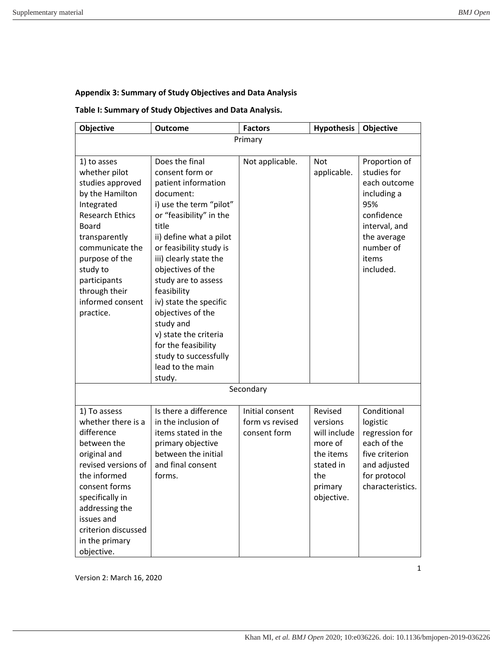## **Appendix 3: Summary of Study Objectives and Data Analysis**

## **Table I: Summary of Study Objectives and Data Analysis.**

| Objective                                                                                                                                                                                                                                                | <b>Outcome</b>                                                                                                                                                                                                                                                                                                                                                                                                                                     | <b>Factors</b>                                     | <b>Hypothesis</b>                                                                                        | Objective                                                                                                                                           |  |  |
|----------------------------------------------------------------------------------------------------------------------------------------------------------------------------------------------------------------------------------------------------------|----------------------------------------------------------------------------------------------------------------------------------------------------------------------------------------------------------------------------------------------------------------------------------------------------------------------------------------------------------------------------------------------------------------------------------------------------|----------------------------------------------------|----------------------------------------------------------------------------------------------------------|-----------------------------------------------------------------------------------------------------------------------------------------------------|--|--|
| Primary                                                                                                                                                                                                                                                  |                                                                                                                                                                                                                                                                                                                                                                                                                                                    |                                                    |                                                                                                          |                                                                                                                                                     |  |  |
| 1) to asses<br>whether pilot<br>studies approved<br>by the Hamilton<br>Integrated<br><b>Research Ethics</b><br>Board<br>transparently<br>communicate the<br>purpose of the<br>study to<br>participants<br>through their<br>informed consent<br>practice. | Does the final<br>consent form or<br>patient information<br>document:<br>i) use the term "pilot"<br>or "feasibility" in the<br>title<br>ii) define what a pilot<br>or feasibility study is<br>iii) clearly state the<br>objectives of the<br>study are to assess<br>feasibility<br>iv) state the specific<br>objectives of the<br>study and<br>v) state the criteria<br>for the feasibility<br>study to successfully<br>lead to the main<br>study. | Not applicable.                                    | <b>Not</b><br>applicable.                                                                                | Proportion of<br>studies for<br>each outcome<br>including a<br>95%<br>confidence<br>interval, and<br>the average<br>number of<br>items<br>included. |  |  |
| Secondary                                                                                                                                                                                                                                                |                                                                                                                                                                                                                                                                                                                                                                                                                                                    |                                                    |                                                                                                          |                                                                                                                                                     |  |  |
| 1) To assess<br>whether there is a<br>difference<br>between the<br>original and<br>revised versions of<br>the informed<br>consent forms<br>specifically in<br>addressing the<br>issues and<br>criterion discussed<br>in the primary<br>objective.        | Is there a difference<br>in the inclusion of<br>items stated in the<br>primary objective<br>between the initial<br>and final consent<br>forms.                                                                                                                                                                                                                                                                                                     | Initial consent<br>form vs revised<br>consent form | Revised<br>versions<br>will include<br>more of<br>the items<br>stated in<br>the<br>primary<br>objective. | Conditional<br>logistic<br>regression for<br>each of the<br>five criterion<br>and adjusted<br>for protocol<br>characteristics.                      |  |  |

Version 2: March 16, 2020

1